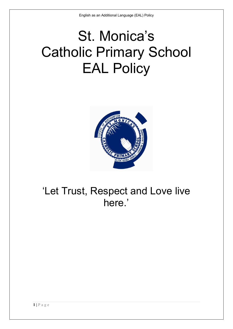# St. Monica's Catholic Primary School EAL Policy



## 'Let Trust, Respect and Love live here.'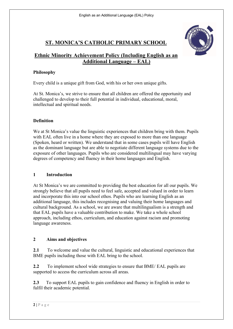

### **ST. MONICA'S CATHOLIC PRIMARY SCHOOL**

#### **Ethnic Minority Achievement Policy (Including English as an Additional Language – EAL)**

#### **Philosophy**

Every child is a unique gift from God, with his or her own unique gifts.

At St. Monica's, we strive to ensure that all children are offered the opportunity and challenged to develop to their full potential in individual, educational, moral, intellectual and spiritual needs.

#### **Definition**

We at St Monica's value the linguistic experiences that children bring with them. Pupils with EAL often live in a home where they are exposed to more than one language (Spoken, heard or written). We understand that in some cases pupils will have English as the dominant language but are able to negotiate different language systems due to the exposure of other languages. Pupils who are considered multilingual may have varying degrees of competency and fluency in their home languages and English.

#### **1 Introduction**

At St Monica's we are committed to providing the best education for all our pupils. We strongly believe that all pupils need to feel safe, accepted and valued in order to learn and incorporate this into our school ethos. Pupils who are learning English as an additional language, this includes recognising and valuing their home languages and cultural background. As a school, we are aware that multilingualism is a strength and that EAL pupils have a valuable contribution to make. We take a whole school approach, including ethos, curriculum, and education against racism and promoting language awareness.

#### **2 Aims and objectives**

**2.1** To welcome and value the cultural, linguistic and educational experiences that BME pupils including those with EAL bring to the school.

**2.2** To implement school wide strategies to ensure that BME/ EAL pupils are supported to access the curriculum across all areas.

**2.3** To support EAL pupils to gain confidence and fluency in English in order to fulfil their academic potential.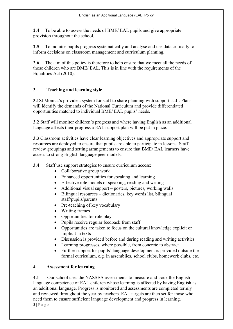**2.4** To be able to assess the needs of BME/ EAL pupils and give appropriate provision throughout the school.

**2.5** To monitor pupils progress systematically and analyse and use data critically to inform decisions on classroom management and curriculum planning.

2.6 The aim of this policy is therefore to help ensure that we meet all the needs of those children who are BME/ EAL. This is in line with the requirements of the Equalities Act (2010).

#### **3 Teaching and learning style**

**3.1**St Monica's provide a system for staff to share planning with support staff. Plans will identify the demands of the National Curriculum and provide differentiated opportunities matched to individual BME/ EAL pupils' needs.

**3.2** Staff will monitor children's progress and where having English as an additional language affects their progress a EAL support plan will be put in place.

**3.3** Classroom activities have clear learning objectives and appropriate support and resources are deployed to ensure that pupils are able to participate in lessons. Staff review groupings and setting arrangements to ensure that BME/ EAL learners have access to strong English language peer models.

**3.4** Staff use support strategies to ensure curriculum access:

- Collaborative group work
- Enhanced opportunities for speaking and learning
- Effective role models of speaking, reading and writing
- Additional visual support posters, pictures, working walls
- Bilingual resources dictionaries, key words list, bilingual staff/pupils/parents
- Pre-teaching of key vocabulary
- Writing frames
- Opportunities for role play
- Pupils receive regular feedback from staff
- Opportunities are taken to focus on the cultural knowledge explicit or implicit in texts
- Discussion is provided before and during reading and writing activities
- Learning progresses, where possible, from concrete to abstract
- Further support for pupils' language development is provided outside the formal curriculum, e.g. in assemblies, school clubs, homework clubs, etc.

#### **4 Assessment for learning**

**4.1** Our school uses the NASSEA assessments to measure and track the English language competence of EAL children whose learning is affected by having English as an additional language. Progress is monitored and assessments are completed termly and reviewed throughout the year by teachers. EAL targets are then set for those who need them to ensure sufficient language development and progress in learning.